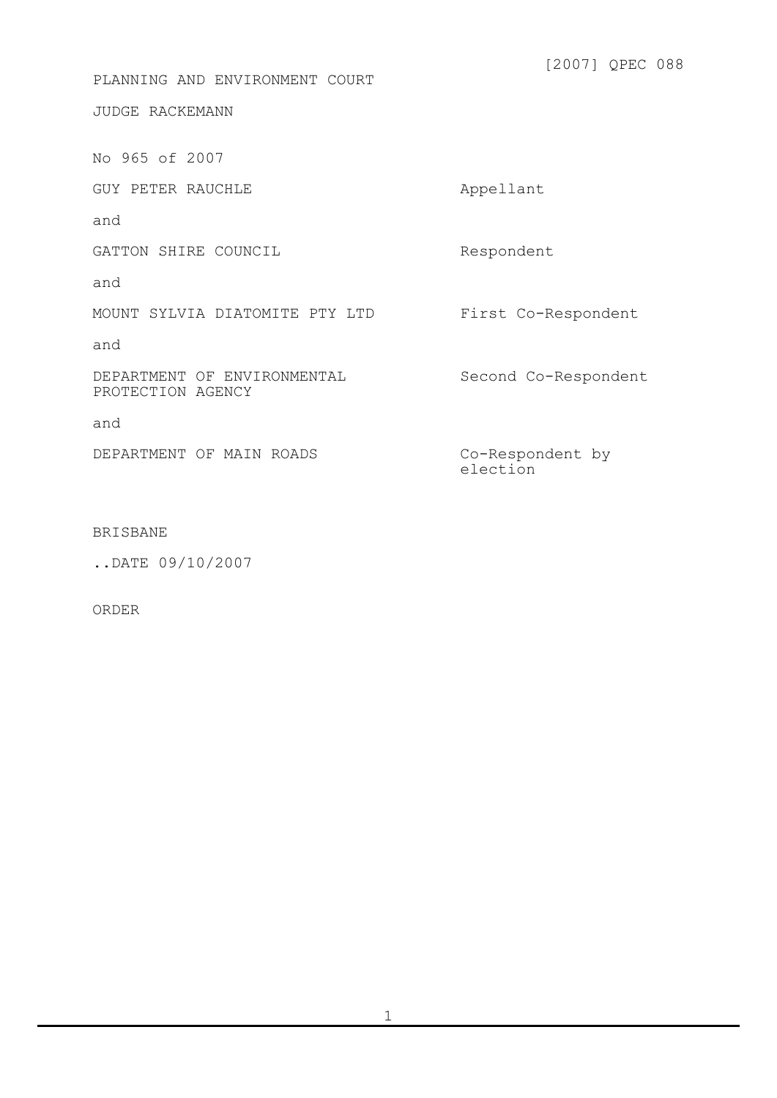PLANNING AND ENVIRONMENT COURT

JUDGE RACKEMANN

No 965 of 2007

GUY PETER RAUCHLE Appellant

and

GATTON SHIRE COUNCIL

and

MOUNT SYLVIA DIATOMITE PTY LTD

and

DEPARTMENT OF ENVIRONMENTAL PROTECTION AGENCY

and

DEPARTMENT OF MAIN ROADS

First Co-Respondent

Respondent

Second Co-Respondent

Co-Respondent by election

## BRISBANE

..DATE 09/10/2007

ORDER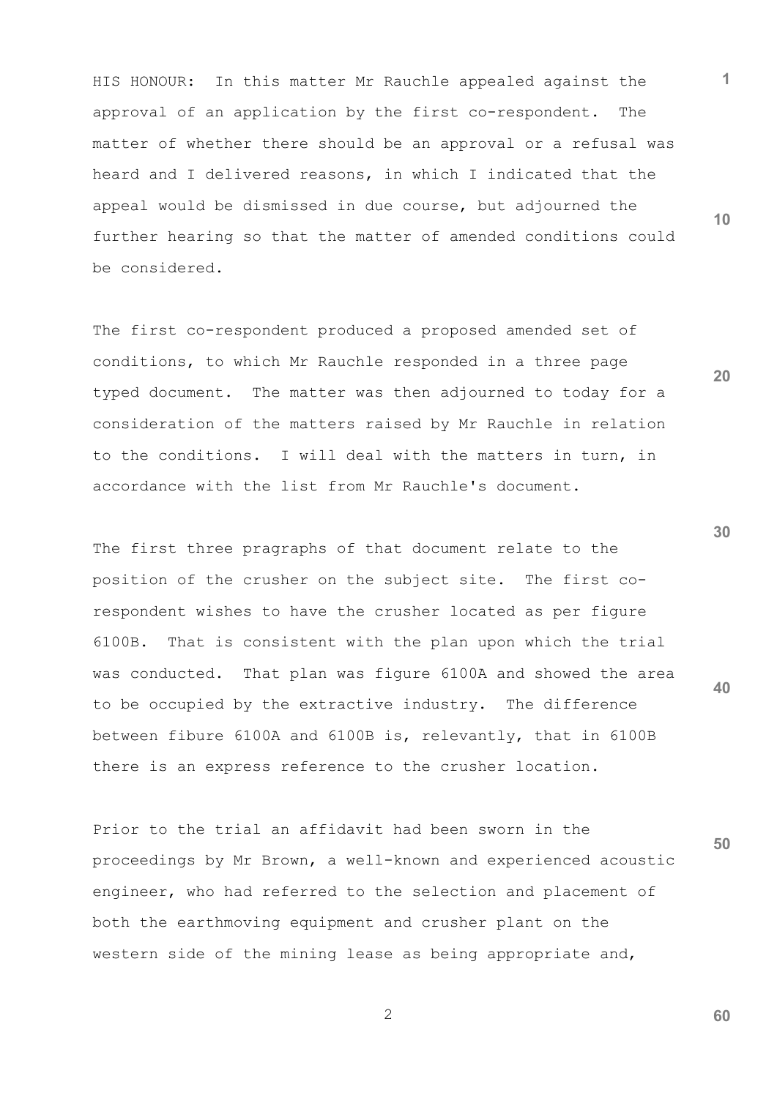HIS HONOUR: In this matter Mr Rauchle appealed against the approval of an application by the first co-respondent. The matter of whether there should be an approval or a refusal was heard and I delivered reasons, in which I indicated that the appeal would be dismissed in due course, but adjourned the further hearing so that the matter of amended conditions could be considered.

The first co-respondent produced a proposed amended set of conditions, to which Mr Rauchle responded in a three page typed document. The matter was then adjourned to today for a consideration of the matters raised by Mr Rauchle in relation to the conditions. I will deal with the matters in turn, in accordance with the list from Mr Rauchle's document.

The first three pragraphs of that document relate to the position of the crusher on the subject site. The first corespondent wishes to have the crusher located as per figure 6100B. That is consistent with the plan upon which the trial was conducted. That plan was figure 6100A and showed the area to be occupied by the extractive industry. The difference between fibure 6100A and 6100B is, relevantly, that in 6100B there is an express reference to the crusher location.

**50** Prior to the trial an affidavit had been sworn in the proceedings by Mr Brown, a well-known and experienced acoustic engineer, who had referred to the selection and placement of both the earthmoving equipment and crusher plant on the western side of the mining lease as being appropriate and,

2

**10**

**20**

**1**

**30**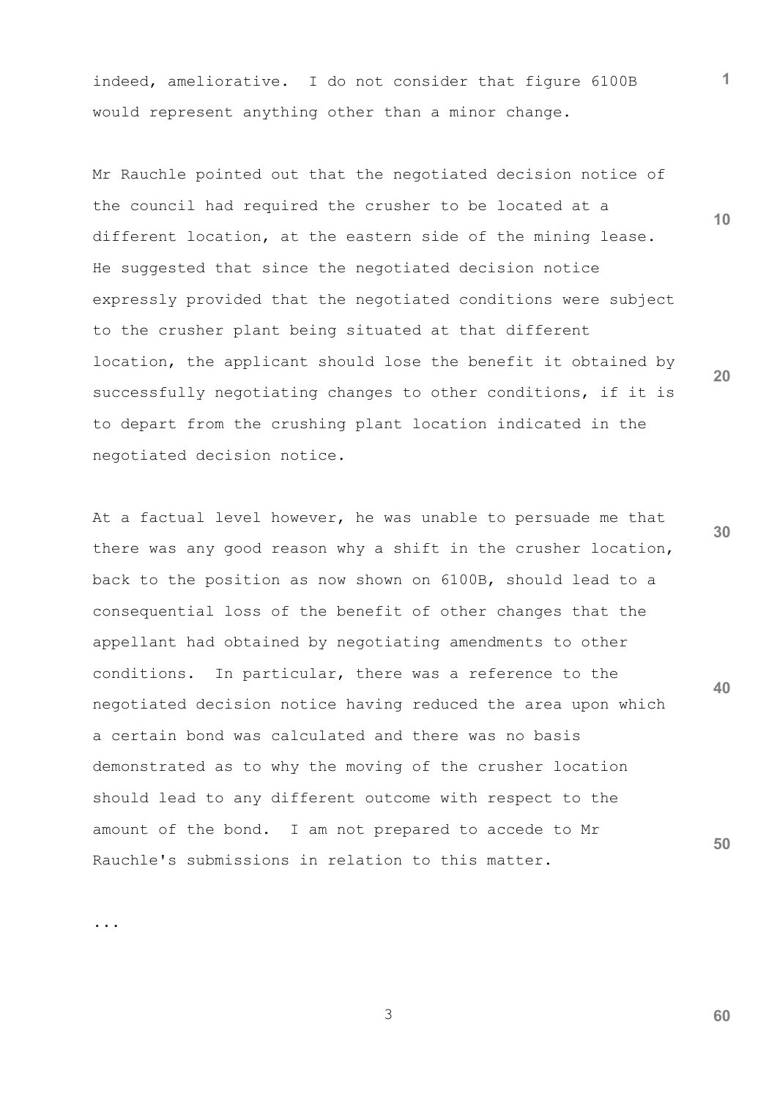indeed, ameliorative. I do not consider that figure 6100B would represent anything other than a minor change.

Mr Rauchle pointed out that the negotiated decision notice of the council had required the crusher to be located at a different location, at the eastern side of the mining lease. He suggested that since the negotiated decision notice expressly provided that the negotiated conditions were subject to the crusher plant being situated at that different location, the applicant should lose the benefit it obtained by successfully negotiating changes to other conditions, if it is to depart from the crushing plant location indicated in the negotiated decision notice.

**40 50** At a factual level however, he was unable to persuade me that there was any good reason why a shift in the crusher location, back to the position as now shown on 6100B, should lead to a consequential loss of the benefit of other changes that the appellant had obtained by negotiating amendments to other conditions. In particular, there was a reference to the negotiated decision notice having reduced the area upon which a certain bond was calculated and there was no basis demonstrated as to why the moving of the crusher location should lead to any different outcome with respect to the amount of the bond. I am not prepared to accede to Mr Rauchle's submissions in relation to this matter.

**20**

**1**

**10**

**30**

...

3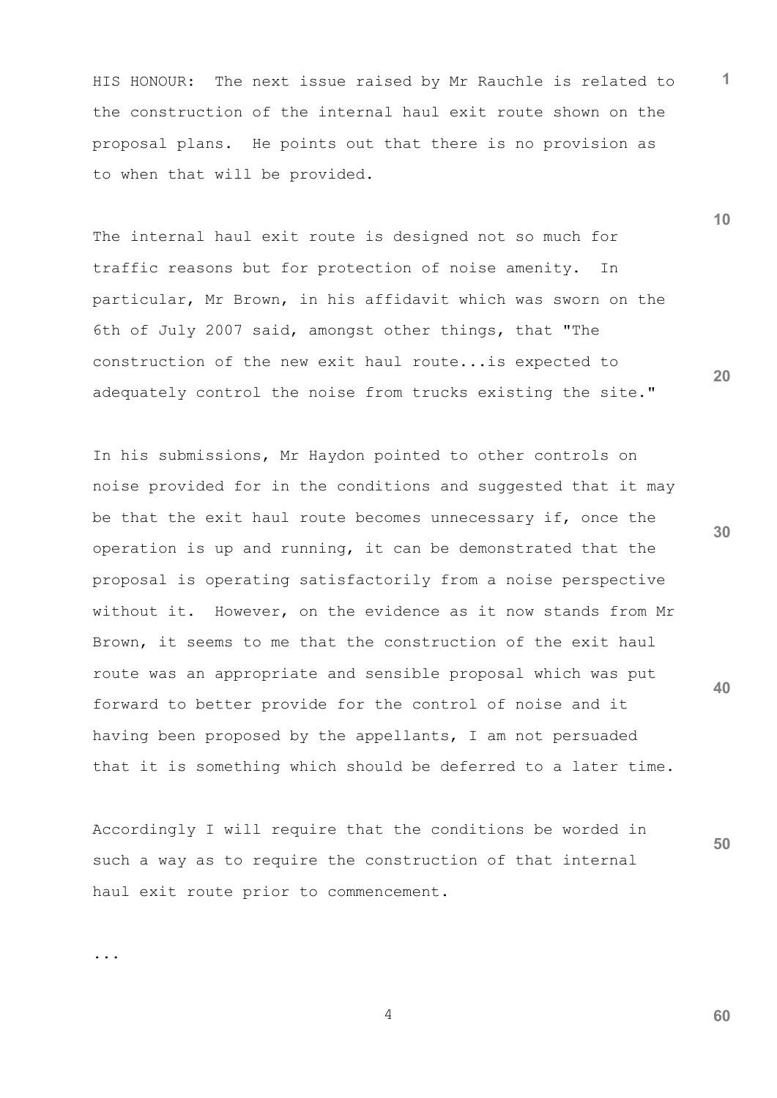HIS HONOUR: The next issue raised by Mr Rauchle is related to the construction of the internal haul exit route shown on the proposal plans. He points out that there is no provision as to when that will be provided.

The internal haul exit route is designed not so much for traffic reasons but for protection of noise amenity. In particular, Mr Brown, in his affidavit which was sworn on the 6th of July 2007 said, amongst other things, that "The construction of the new exit haul route...is expected to adequately control the noise from trucks existing the site."

In his submissions, Mr Haydon pointed to other controls on noise provided for in the conditions and suggested that it may be that the exit haul route becomes unnecessary if, once the operation is up and running, it can be demonstrated that the proposal is operating satisfactorily from a noise perspective without it. However, on the evidence as it now stands from Mr Brown, it seems to me that the construction of the exit haul route was an appropriate and sensible proposal which was put forward to better provide for the control of noise and it having been proposed by the appellants, I am not persuaded that it is something which should be deferred to a later time.

Accordingly I will require that the conditions be worded in such a way as to require the construction of that internal haul exit route prior to commencement.

4

...

**10**

**1**

**20**

**30**

**40**

**50**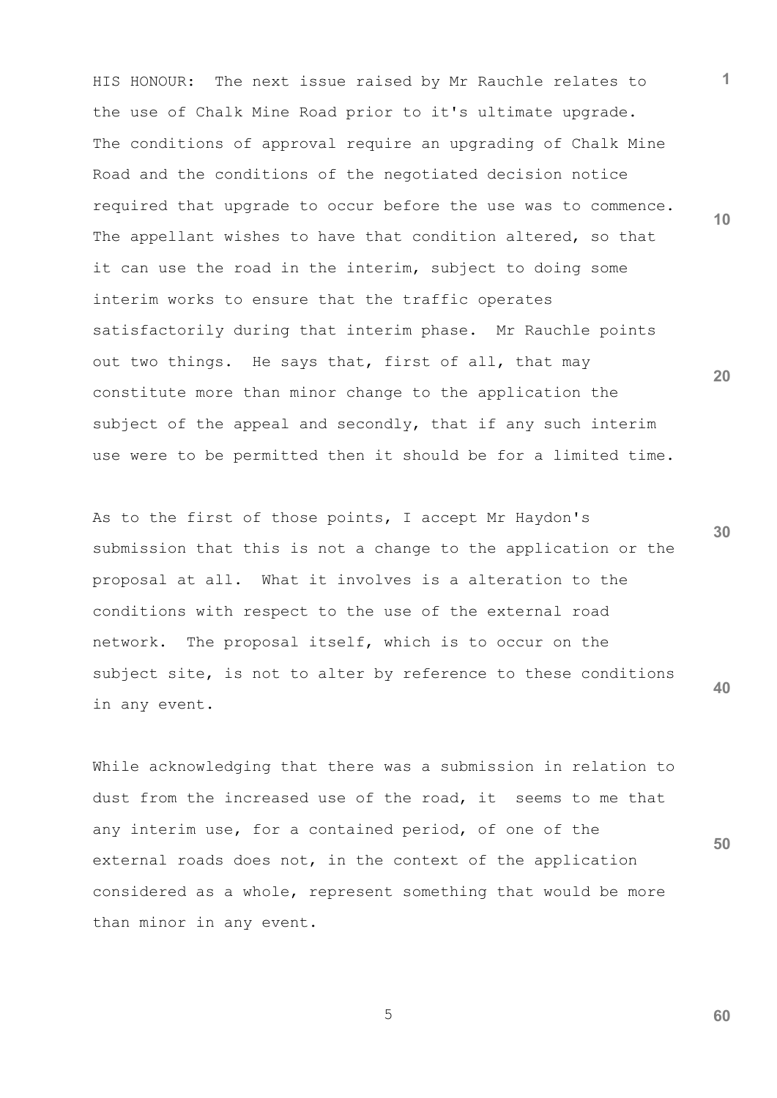**10 20** HIS HONOUR: The next issue raised by Mr Rauchle relates to the use of Chalk Mine Road prior to it's ultimate upgrade. The conditions of approval require an upgrading of Chalk Mine Road and the conditions of the negotiated decision notice required that upgrade to occur before the use was to commence. The appellant wishes to have that condition altered, so that it can use the road in the interim, subject to doing some interim works to ensure that the traffic operates satisfactorily during that interim phase. Mr Rauchle points out two things. He says that, first of all, that may constitute more than minor change to the application the subject of the appeal and secondly, that if any such interim use were to be permitted then it should be for a limited time.

**30 40** As to the first of those points, I accept Mr Haydon's submission that this is not a change to the application or the proposal at all. What it involves is a alteration to the conditions with respect to the use of the external road network. The proposal itself, which is to occur on the subject site, is not to alter by reference to these conditions in any event.

**50** While acknowledging that there was a submission in relation to dust from the increased use of the road, it seems to me that any interim use, for a contained period, of one of the external roads does not, in the context of the application considered as a whole, represent something that would be more than minor in any event.

 $\sim$  5

**60**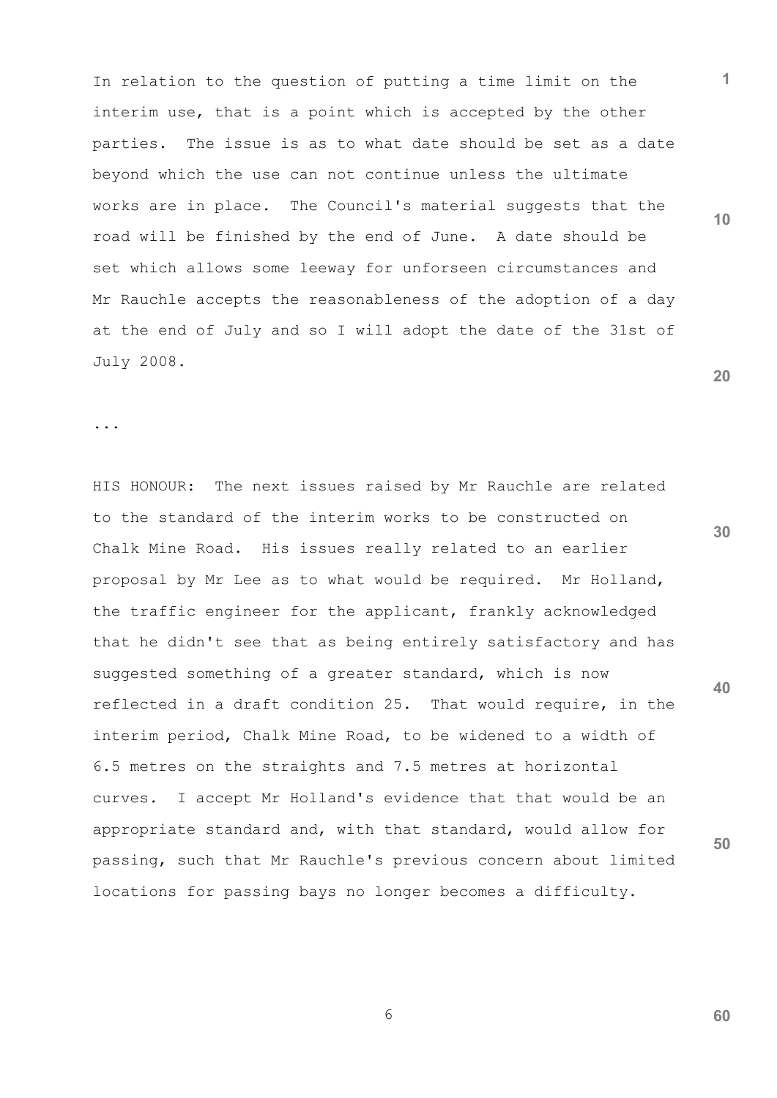In relation to the question of putting a time limit on the interim use, that is a point which is accepted by the other parties. The issue is as to what date should be set as a date beyond which the use can not continue unless the ultimate works are in place. The Council's material suggests that the road will be finished by the end of June. A date should be set which allows some leeway for unforseen circumstances and Mr Rauchle accepts the reasonableness of the adoption of a day at the end of July and so I will adopt the date of the 31st of July 2008.

...

**30 40** HIS HONOUR: The next issues raised by Mr Rauchle are related to the standard of the interim works to be constructed on Chalk Mine Road. His issues really related to an earlier proposal by Mr Lee as to what would be required. Mr Holland, the traffic engineer for the applicant, frankly acknowledged that he didn't see that as being entirely satisfactory and has suggested something of a greater standard, which is now reflected in a draft condition 25. That would require, in the interim period, Chalk Mine Road, to be widened to a width of 6.5 metres on the straights and 7.5 metres at horizontal curves. I accept Mr Holland's evidence that that would be an appropriate standard and, with that standard, would allow for passing, such that Mr Rauchle's previous concern about limited locations for passing bays no longer becomes a difficulty.

**20**

**1**

**10**

**50**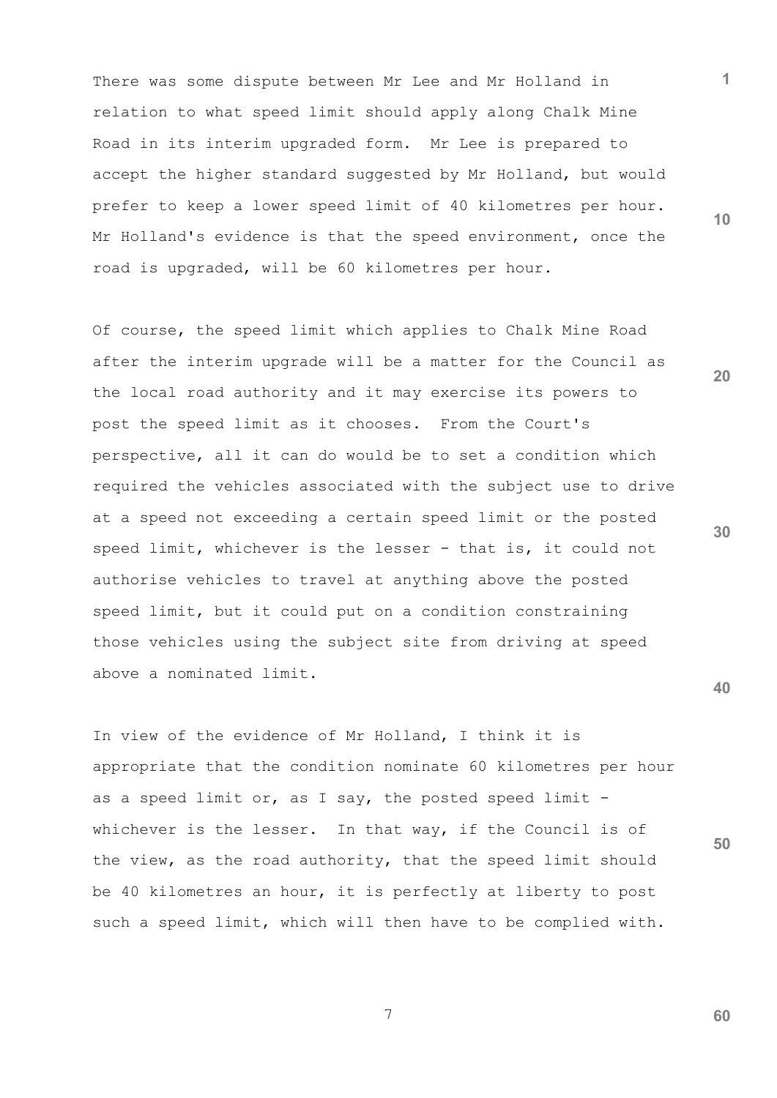There was some dispute between Mr Lee and Mr Holland in relation to what speed limit should apply along Chalk Mine Road in its interim upgraded form. Mr Lee is prepared to accept the higher standard suggested by Mr Holland, but would prefer to keep a lower speed limit of 40 kilometres per hour. Mr Holland's evidence is that the speed environment, once the road is upgraded, will be 60 kilometres per hour.

Of course, the speed limit which applies to Chalk Mine Road after the interim upgrade will be a matter for the Council as the local road authority and it may exercise its powers to post the speed limit as it chooses. From the Court's perspective, all it can do would be to set a condition which required the vehicles associated with the subject use to drive at a speed not exceeding a certain speed limit or the posted speed limit, whichever is the lesser - that is, it could not authorise vehicles to travel at anything above the posted speed limit, but it could put on a condition constraining those vehicles using the subject site from driving at speed above a nominated limit.

In view of the evidence of Mr Holland, I think it is appropriate that the condition nominate 60 kilometres per hour as a speed limit or, as I say, the posted speed limit whichever is the lesser. In that way, if the Council is of the view, as the road authority, that the speed limit should be 40 kilometres an hour, it is perfectly at liberty to post such a speed limit, which will then have to be complied with.

7

**10**

**1**

**20**

**30**

**40**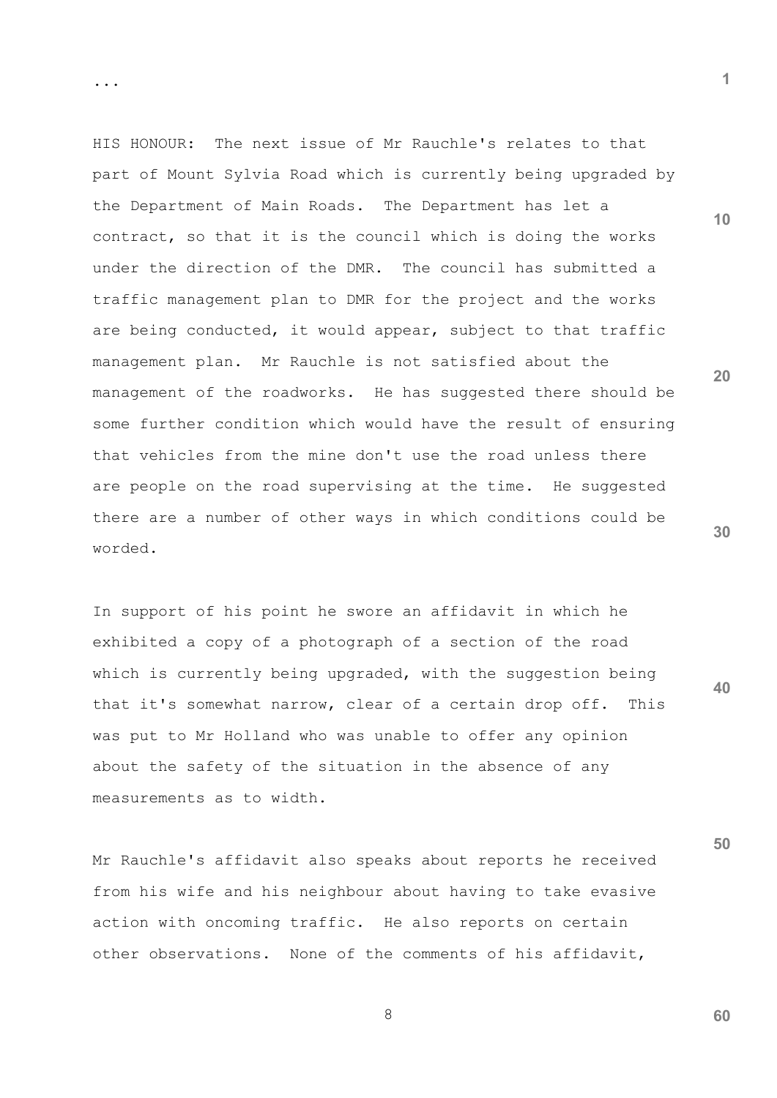HIS HONOUR: The next issue of Mr Rauchle's relates to that part of Mount Sylvia Road which is currently being upgraded by the Department of Main Roads. The Department has let a contract, so that it is the council which is doing the works under the direction of the DMR. The council has submitted a traffic management plan to DMR for the project and the works are being conducted, it would appear, subject to that traffic management plan. Mr Rauchle is not satisfied about the management of the roadworks. He has suggested there should be some further condition which would have the result of ensuring that vehicles from the mine don't use the road unless there are people on the road supervising at the time. He suggested there are a number of other ways in which conditions could be worded.

In support of his point he swore an affidavit in which he exhibited a copy of a photograph of a section of the road which is currently being upgraded, with the suggestion being that it's somewhat narrow, clear of a certain drop off. This was put to Mr Holland who was unable to offer any opinion about the safety of the situation in the absence of any measurements as to width.

**40**

**50**

Mr Rauchle's affidavit also speaks about reports he received from his wife and his neighbour about having to take evasive action with oncoming traffic. He also reports on certain other observations. None of the comments of his affidavit,

8

**1**

**10**

**20**

**30**

...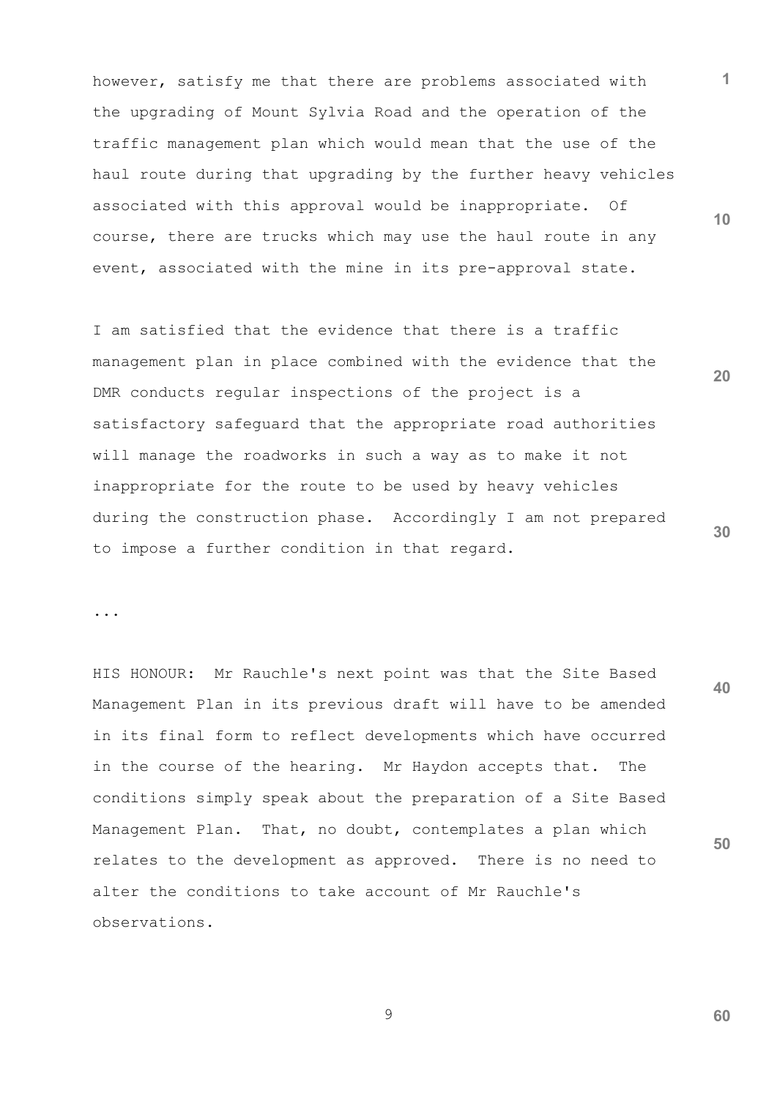however, satisfy me that there are problems associated with the upgrading of Mount Sylvia Road and the operation of the traffic management plan which would mean that the use of the haul route during that upgrading by the further heavy vehicles associated with this approval would be inappropriate. Of course, there are trucks which may use the haul route in any event, associated with the mine in its pre-approval state.

I am satisfied that the evidence that there is a traffic management plan in place combined with the evidence that the DMR conducts regular inspections of the project is a satisfactory safeguard that the appropriate road authorities will manage the roadworks in such a way as to make it not inappropriate for the route to be used by heavy vehicles during the construction phase. Accordingly I am not prepared to impose a further condition in that regard.

...

**40 50** HIS HONOUR: Mr Rauchle's next point was that the Site Based Management Plan in its previous draft will have to be amended in its final form to reflect developments which have occurred in the course of the hearing. Mr Haydon accepts that. The conditions simply speak about the preparation of a Site Based Management Plan. That, no doubt, contemplates a plan which relates to the development as approved. There is no need to alter the conditions to take account of Mr Rauchle's observations.

9

**60**

**10**

**1**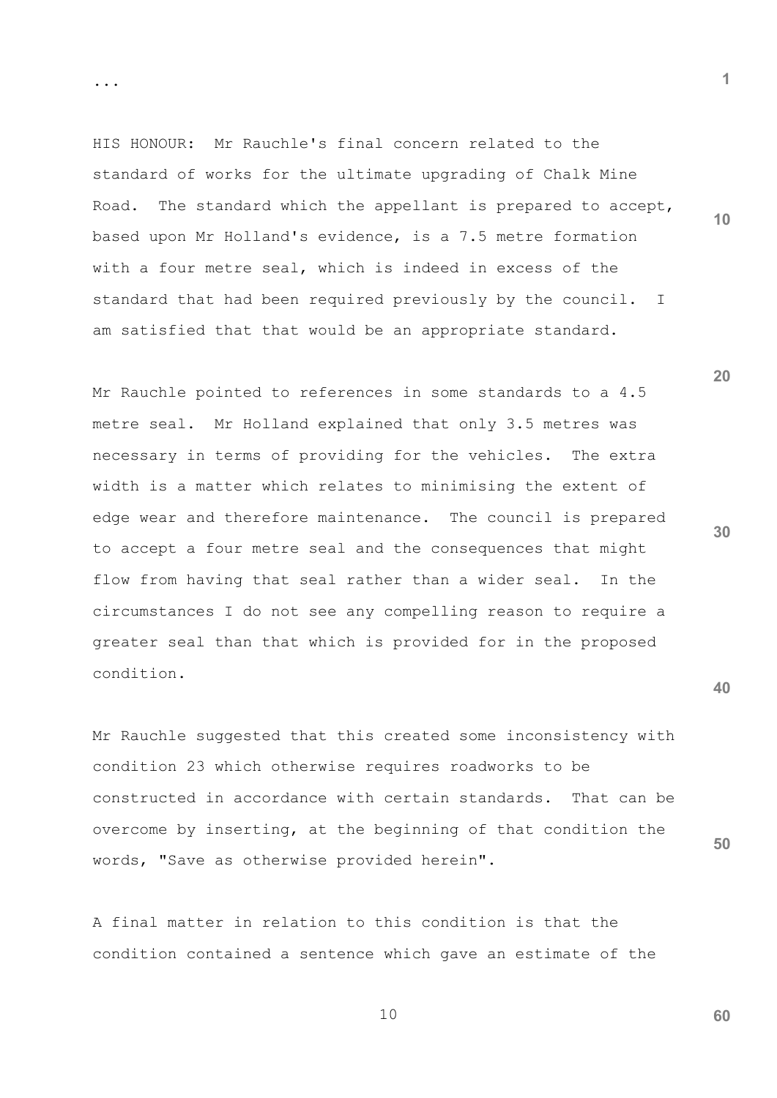HIS HONOUR: Mr Rauchle's final concern related to the standard of works for the ultimate upgrading of Chalk Mine Road. The standard which the appellant is prepared to accept, based upon Mr Holland's evidence, is a 7.5 metre formation with a four metre seal, which is indeed in excess of the standard that had been required previously by the council. I am satisfied that that would be an appropriate standard.

Mr Rauchle pointed to references in some standards to a 4.5 metre seal. Mr Holland explained that only 3.5 metres was necessary in terms of providing for the vehicles. The extra width is a matter which relates to minimising the extent of edge wear and therefore maintenance. The council is prepared to accept a four metre seal and the consequences that might flow from having that seal rather than a wider seal. In the circumstances I do not see any compelling reason to require a greater seal than that which is provided for in the proposed condition.

Mr Rauchle suggested that this created some inconsistency with condition 23 which otherwise requires roadworks to be constructed in accordance with certain standards. That can be overcome by inserting, at the beginning of that condition the words, "Save as otherwise provided herein".

A final matter in relation to this condition is that the condition contained a sentence which gave an estimate of the

10

...

**20**

**30**

**40**

**50**

**1**